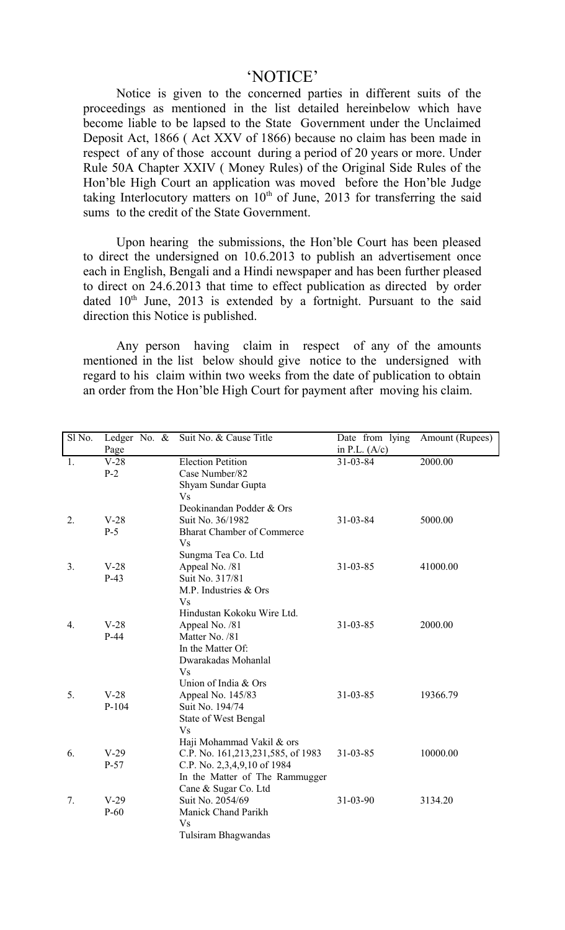## 'NOTICE'

Notice is given to the concerned parties in different suits of the proceedings as mentioned in the list detailed hereinbelow which have become liable to be lapsed to the State Government under the Unclaimed Deposit Act, 1866 ( Act XXV of 1866) because no claim has been made in respect of any of those account during a period of 20 years or more. Under Rule 50A Chapter XXIV ( Money Rules) of the Original Side Rules of the Hon'ble High Court an application was moved before the Hon'ble Judge taking Interlocutory matters on  $10<sup>th</sup>$  of June, 2013 for transferring the said sums to the credit of the State Government.

Upon hearing the submissions, the Hon'ble Court has been pleased to direct the undersigned on 10.6.2013 to publish an advertisement once each in English, Bengali and a Hindi newspaper and has been further pleased to direct on 24.6.2013 that time to effect publication as directed by order dated  $10<sup>th</sup>$  June, 2013 is extended by a fortnight. Pursuant to the said direction this Notice is published.

Any person having claim in respect of any of the amounts mentioned in the list below should give notice to the undersigned with regard to his claim within two weeks from the date of publication to obtain an order from the Hon'ble High Court for payment after moving his claim.

| Sl No.         | Ledger No. &<br>Page | Suit No. & Cause Title<br>Date from lying<br>in P.L. $(A/c)$ |                | Amount (Rupees) |  |
|----------------|----------------------|--------------------------------------------------------------|----------------|-----------------|--|
| 1.             | $V-28$               | <b>Election Petition</b>                                     | $31 - 03 - 84$ | 2000.00         |  |
|                | $P-2$                | Case Number/82                                               |                |                 |  |
|                |                      | Shyam Sundar Gupta                                           |                |                 |  |
|                |                      | <b>Vs</b>                                                    |                |                 |  |
|                |                      | Deokinandan Podder & Ors                                     |                |                 |  |
| 2.             | $V-28$               | Suit No. 36/1982                                             | 31-03-84       | 5000.00         |  |
|                | $P-5$                | <b>Bharat Chamber of Commerce</b>                            |                |                 |  |
|                |                      | <b>Vs</b>                                                    |                |                 |  |
|                |                      | Sungma Tea Co. Ltd                                           |                |                 |  |
| 3 <sub>1</sub> | $V-28$               | Appeal No. /81                                               | 31-03-85       | 41000.00        |  |
|                | $P-43$               | Suit No. 317/81                                              |                |                 |  |
|                |                      | M.P. Industries & Ors                                        |                |                 |  |
|                |                      | <b>Vs</b>                                                    |                |                 |  |
|                |                      | Hindustan Kokoku Wire Ltd.                                   |                |                 |  |
| 4.             | $V-28$               | Appeal No. /81                                               | 31-03-85       | 2000.00         |  |
|                | $P-44$               | Matter No. /81                                               |                |                 |  |
|                |                      | In the Matter Of:                                            |                |                 |  |
|                |                      | Dwarakadas Mohanlal                                          |                |                 |  |
|                |                      | <b>Vs</b>                                                    |                |                 |  |
|                |                      | Union of India & Ors                                         |                |                 |  |
| 5.             | $V-28$               | Appeal No. 145/83                                            | 31-03-85       | 19366.79        |  |
|                | $P-104$              | Suit No. 194/74                                              |                |                 |  |
|                |                      | <b>State of West Bengal</b>                                  |                |                 |  |
|                |                      | <b>Vs</b>                                                    |                |                 |  |
|                |                      | Haji Mohammad Vakil & ors                                    |                |                 |  |
| 6.             | $V-29$               | C.P. No. 161,213,231,585, of 1983                            | $31 - 03 - 85$ | 10000.00        |  |
|                | $P-57$               | C.P. No. 2,3,4,9,10 of 1984                                  |                |                 |  |
|                |                      | In the Matter of The Rammugger                               |                |                 |  |
|                |                      | Cane & Sugar Co. Ltd                                         |                |                 |  |
| 7.             | $V-29$               | Suit No. 2054/69                                             | 31-03-90       | 3134.20         |  |
|                | $P-60$               | Manick Chand Parikh                                          |                |                 |  |
|                |                      | <b>Vs</b>                                                    |                |                 |  |
|                |                      | Tulsiram Bhagwandas                                          |                |                 |  |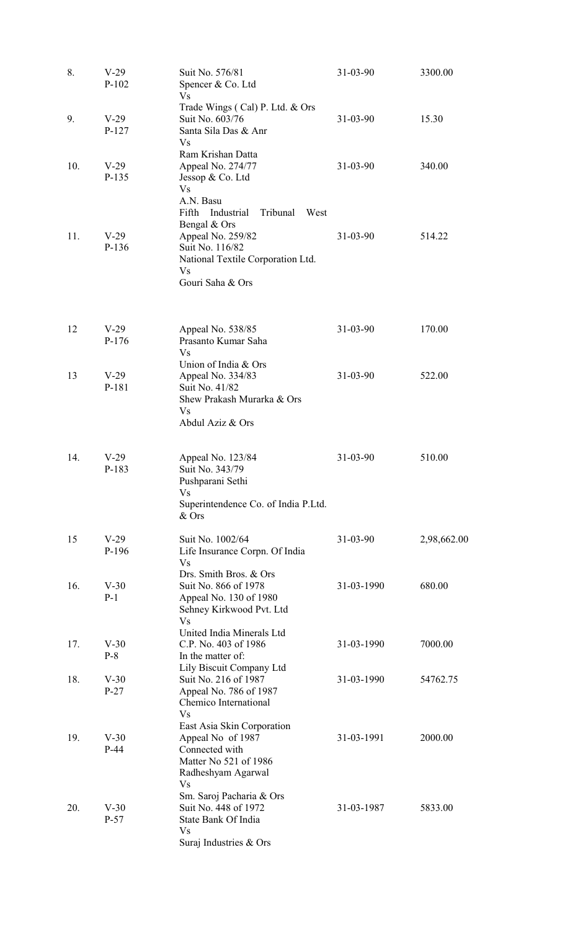| 8.  | $V-29$<br>$P-102$ | Suit No. 576/81<br>Spencer & Co. Ltd<br><b>Vs</b>                                                                                                         | 31-03-90       | 3300.00     |
|-----|-------------------|-----------------------------------------------------------------------------------------------------------------------------------------------------------|----------------|-------------|
| 9.  | $V-29$<br>$P-127$ | Trade Wings (Cal) P. Ltd. & Ors<br>Suit No. 603/76<br>Santa Sila Das & Anr<br><b>Vs</b>                                                                   | $31 - 03 - 90$ | 15.30       |
| 10. | $V-29$<br>P-135   | Ram Krishan Datta<br>Appeal No. 274/77<br>Jessop & Co. Ltd<br><b>Vs</b><br>A.N. Basu<br>Industrial<br>Tribunal<br>West<br>Fifth                           | $31 - 03 - 90$ | 340.00      |
| 11. | $V-29$<br>P-136   | Bengal & Ors<br>Appeal No. 259/82<br>Suit No. 116/82<br>National Textile Corporation Ltd.<br><b>Vs</b><br>Gouri Saha & Ors                                | $31 - 03 - 90$ | 514.22      |
| 12  | $V-29$<br>$P-176$ | Appeal No. 538/85<br>Prasanto Kumar Saha<br><b>Vs</b>                                                                                                     | $31 - 03 - 90$ | 170.00      |
| 13  | $V-29$<br>P-181   | Union of India & Ors<br>Appeal No. 334/83<br>Suit No. 41/82<br>Shew Prakash Murarka & Ors<br><b>Vs</b><br>Abdul Aziz & Ors                                | $31 - 03 - 90$ | 522.00      |
| 14. | $V-29$<br>P-183   | Appeal No. 123/84<br>Suit No. 343/79<br>Pushparani Sethi<br><b>Vs</b><br>Superintendence Co. of India P.Ltd.<br>& Ors                                     | $31 - 03 - 90$ | 510.00      |
| 15  | $V-29$<br>P-196   | Suit No. 1002/64<br>Life Insurance Corpn. Of India<br><b>Vs</b><br>Drs. Smith Bros. & Ors.                                                                | $31 - 03 - 90$ | 2,98,662.00 |
| 16. | $V-30$<br>$P-1$   | Suit No. 866 of 1978<br>Appeal No. 130 of 1980<br>Sehney Kirkwood Pvt. Ltd<br><b>Vs</b>                                                                   | 31-03-1990     | 680.00      |
| 17. | $V-30$<br>$P-8$   | United India Minerals Ltd<br>C.P. No. 403 of 1986<br>In the matter of:                                                                                    | 31-03-1990     | 7000.00     |
| 18. | $V-30$<br>$P-27$  | Lily Biscuit Company Ltd<br>Suit No. 216 of 1987<br>Appeal No. 786 of 1987<br>Chemico International<br><b>Vs</b>                                          | 31-03-1990     | 54762.75    |
| 19. | $V-30$<br>$P-44$  | East Asia Skin Corporation<br>Appeal No of 1987<br>Connected with<br>Matter No 521 of 1986<br>Radheshyam Agarwal<br><b>Vs</b><br>Sm. Saroj Pacharia & Ors | 31-03-1991     | 2000.00     |
| 20. | $V-30$<br>$P-57$  | Suit No. 448 of 1972<br>State Bank Of India<br><b>Vs</b><br>Suraj Industries & Ors                                                                        | 31-03-1987     | 5833.00     |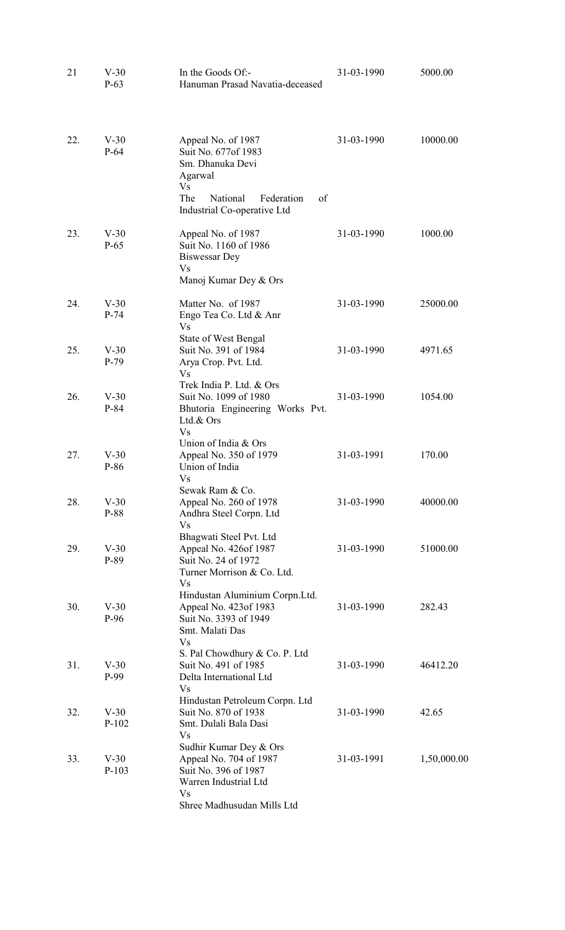| 21<br>$V-30$<br>$P-63$ |                   | In the Goods Of:-<br>Hanuman Prasad Navatia-deceased                                                                                            | 31-03-1990 | 5000.00     |  |
|------------------------|-------------------|-------------------------------------------------------------------------------------------------------------------------------------------------|------------|-------------|--|
| 22.                    | $V-30$<br>$P-64$  | Appeal No. of 1987<br>Suit No. 677 of 1983<br>Sm. Dhanuka Devi<br>Agarwal<br><b>Vs</b>                                                          | 31-03-1990 | 10000.00    |  |
|                        |                   | The<br>National<br>Federation<br>of<br>Industrial Co-operative Ltd                                                                              |            |             |  |
| 23.                    | $V-30$<br>$P-65$  | Appeal No. of 1987<br>Suit No. 1160 of 1986<br><b>Biswessar Dey</b><br>Vs                                                                       | 31-03-1990 | 1000.00     |  |
|                        |                   | Manoj Kumar Dey & Ors                                                                                                                           |            |             |  |
| 24.                    | $V-30$<br>$P-74$  | Matter No. of 1987<br>Engo Tea Co. Ltd & Anr<br><b>Vs</b>                                                                                       | 31-03-1990 | 25000.00    |  |
| 25.                    | $V-30$<br>$P-79$  | <b>State of West Bengal</b><br>Suit No. 391 of 1984<br>Arya Crop. Pvt. Ltd.                                                                     | 31-03-1990 | 4971.65     |  |
| 26.                    | $V-30$<br>P-84    | Vs<br>Trek India P. Ltd. & Ors<br>Suit No. 1099 of 1980<br>Bhutoria Engineering Works Pvt.<br>Ltd.& Ors                                         | 31-03-1990 | 1054.00     |  |
| 27.                    | $V-30$<br>P-86    | <b>Vs</b><br>Union of India & Ors<br>Appeal No. 350 of 1979<br>Union of India                                                                   | 31-03-1991 | 170.00      |  |
| 28.                    | $V-30$<br>P-88    | Vs<br>Sewak Ram & Co.<br>Appeal No. 260 of 1978<br>Andhra Steel Corpn. Ltd<br><b>Vs</b>                                                         | 31-03-1990 | 40000.00    |  |
| 29.                    | $V-30$<br>P-89    | Bhagwati Steel Pvt. Ltd<br>Appeal No. 426of 1987<br>Suit No. 24 of 1972                                                                         | 31-03-1990 | 51000.00    |  |
| 30.                    | $V-30$<br>$P-96$  | Turner Morrison & Co. Ltd.<br><b>Vs</b><br>Hindustan Aluminium Corpn.Ltd.<br>Appeal No. 423 of 1983<br>Suit No. 3393 of 1949<br>Smt. Malati Das | 31-03-1990 | 282.43      |  |
| 31.                    | $V-30$<br>P-99    | <b>Vs</b><br>S. Pal Chowdhury & Co. P. Ltd<br>Suit No. 491 of 1985<br>Delta International Ltd                                                   | 31-03-1990 | 46412.20    |  |
| 32.                    | $V-30$<br>$P-102$ | <b>Vs</b><br>Hindustan Petroleum Corpn. Ltd<br>Suit No. 870 of 1938<br>Smt. Dulali Bala Dasi<br><b>Vs</b>                                       | 31-03-1990 | 42.65       |  |
| 33.                    | $V-30$<br>$P-103$ | Sudhir Kumar Dey & Ors<br>Appeal No. 704 of 1987<br>Suit No. 396 of 1987<br>Warren Industrial Ltd<br><b>Vs</b>                                  | 31-03-1991 | 1,50,000.00 |  |
|                        |                   | Shree Madhusudan Mills Ltd                                                                                                                      |            |             |  |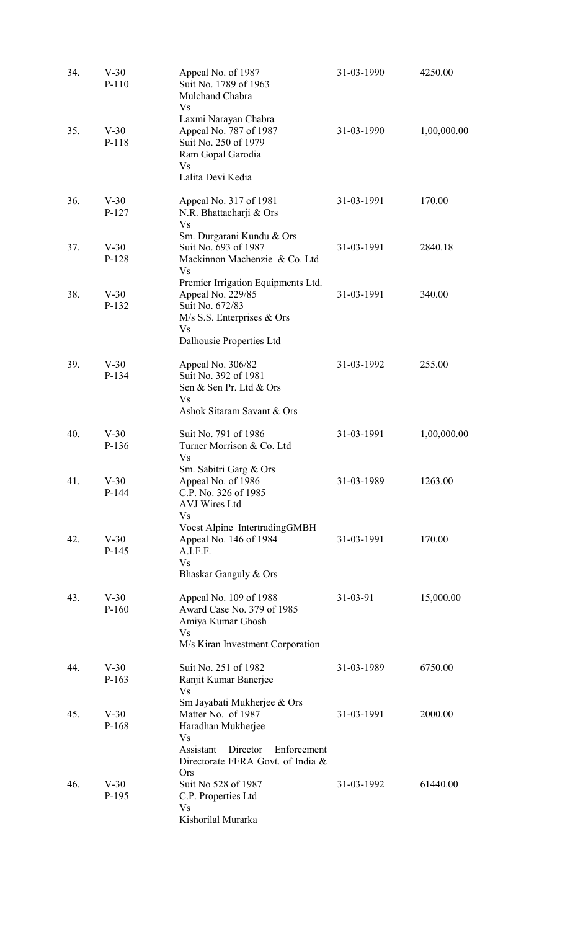| 34. | $V-30$<br>$P-110$ | Appeal No. of 1987<br>Suit No. 1789 of 1963<br>Mulchand Chabra<br><b>Vs</b>                                                                                       | 31-03-1990     | 4250.00     |
|-----|-------------------|-------------------------------------------------------------------------------------------------------------------------------------------------------------------|----------------|-------------|
| 35. | $V-30$<br>P-118   | Laxmi Narayan Chabra<br>Appeal No. 787 of 1987<br>Suit No. 250 of 1979<br>Ram Gopal Garodia<br><b>Vs</b><br>Lalita Devi Kedia                                     | 31-03-1990     | 1,00,000.00 |
| 36. | $V-30$<br>$P-127$ | Appeal No. 317 of 1981<br>N.R. Bhattacharji & Ors<br><b>Vs</b>                                                                                                    | 31-03-1991     | 170.00      |
| 37. | $V-30$<br>P-128   | Sm. Durgarani Kundu & Ors<br>Suit No. 693 of 1987<br>Mackinnon Machenzie & Co. Ltd<br><b>Vs</b>                                                                   | 31-03-1991     | 2840.18     |
| 38. | $V-30$<br>P-132   | Premier Irrigation Equipments Ltd.<br>Appeal No. 229/85<br>Suit No. 672/83<br>$M/s$ S.S. Enterprises $&Ors$<br><b>Vs</b>                                          | 31-03-1991     | 340.00      |
| 39. | $V-30$<br>P-134   | Dalhousie Properties Ltd<br>Appeal No. 306/82<br>Suit No. 392 of 1981<br>Sen & Sen Pr. Ltd & Ors<br><b>Vs</b><br>Ashok Sitaram Savant & Ors                       | 31-03-1992     | 255.00      |
| 40. | $V-30$<br>P-136   | Suit No. 791 of 1986<br>Turner Morrison & Co. Ltd<br><b>Vs</b>                                                                                                    | 31-03-1991     | 1,00,000.00 |
| 41. | $V-30$<br>$P-144$ | Sm. Sabitri Garg & Ors<br>Appeal No. of 1986<br>C.P. No. 326 of 1985<br>AVJ Wires Ltd                                                                             | 31-03-1989     | 1263.00     |
| 42. | $V-30$<br>$P-145$ | <b>Vs</b><br>Voest Alpine IntertradingGMBH<br>Appeal No. 146 of 1984<br>A.I.F.F.<br><b>Vs</b><br>Bhaskar Ganguly & Ors                                            | 31-03-1991     | 170.00      |
| 43. | $V-30$<br>$P-160$ | Appeal No. 109 of 1988<br>Award Case No. 379 of 1985<br>Amiya Kumar Ghosh<br><b>Vs</b><br>M/s Kiran Investment Corporation                                        | $31 - 03 - 91$ | 15,000.00   |
| 44. | $V-30$<br>$P-163$ | Suit No. 251 of 1982<br>Ranjit Kumar Banerjee<br><b>Vs</b>                                                                                                        | 31-03-1989     | 6750.00     |
| 45. | $V-30$<br>P-168   | Sm Jayabati Mukherjee & Ors<br>Matter No. of 1987<br>Haradhan Mukherjee<br><b>Vs</b><br>Assistant<br>Director<br>Enforcement<br>Directorate FERA Govt. of India & | 31-03-1991     | 2000.00     |
| 46. | $V-30$<br>P-195   | <b>Ors</b><br>Suit No 528 of 1987<br>C.P. Properties Ltd<br>Vs<br>Kishorilal Murarka                                                                              | 31-03-1992     | 61440.00    |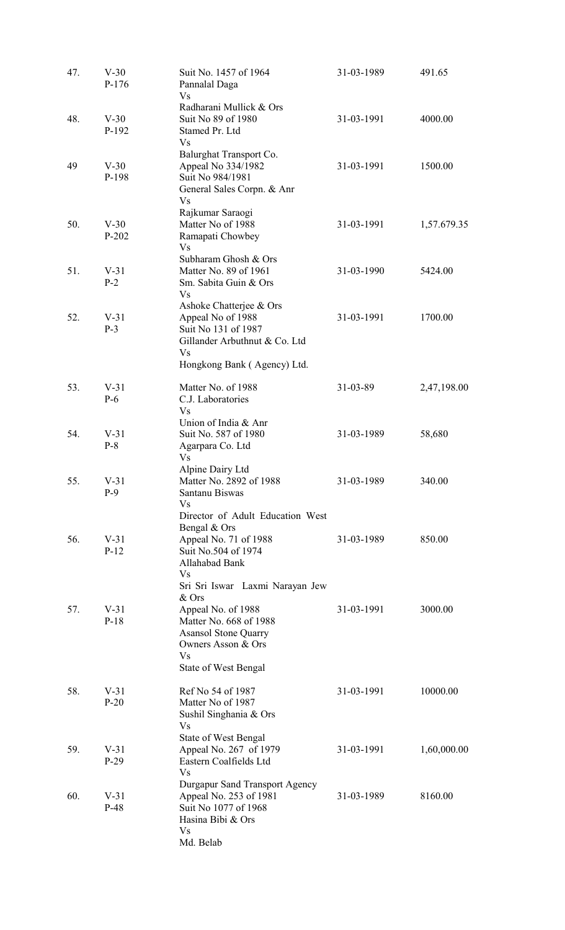| 47. | $V-30$<br>$P-176$ | Suit No. 1457 of 1964<br>Pannalal Daga<br><b>Vs</b>                                                                                                                                       | 31-03-1989 | 491.65      |
|-----|-------------------|-------------------------------------------------------------------------------------------------------------------------------------------------------------------------------------------|------------|-------------|
| 48. | $V-30$<br>P-192   | Radharani Mullick & Ors<br>Suit No 89 of 1980<br>Stamed Pr. Ltd<br><b>Vs</b>                                                                                                              | 31-03-1991 | 4000.00     |
| 49  | $V-30$<br>P-198   | Balurghat Transport Co.<br>Appeal No 334/1982<br>Suit No 984/1981<br>General Sales Corpn. & Anr<br><b>Vs</b>                                                                              | 31-03-1991 | 1500.00     |
| 50. | $V-30$<br>$P-202$ | Rajkumar Saraogi<br>Matter No of 1988<br>Ramapati Chowbey<br><b>Vs</b>                                                                                                                    | 31-03-1991 | 1,57.679.35 |
| 51. | $V-31$<br>$P-2$   | Subharam Ghosh & Ors<br>Matter No. 89 of 1961<br>Sm. Sabita Guin & Ors<br><b>Vs</b>                                                                                                       | 31-03-1990 | 5424.00     |
| 52. | $V-31$<br>$P-3$   | Ashoke Chatterjee & Ors<br>Appeal No of 1988<br>Suit No 131 of 1987<br>Gillander Arbuthnut & Co. Ltd<br><b>Vs</b>                                                                         |            | 1700.00     |
| 53. | $V-31$<br>$P-6$   | Hongkong Bank (Agency) Ltd.<br>Matter No. of 1988<br>C.J. Laboratories<br><b>Vs</b>                                                                                                       | 31-03-89   | 2,47,198.00 |
| 54. | $V-31$<br>$P-8$   | Union of India & Anr<br>Suit No. 587 of 1980<br>Agarpara Co. Ltd<br><b>Vs</b>                                                                                                             | 31-03-1989 | 58,680      |
| 55. | $V-31$<br>$P-9$   | Alpine Dairy Ltd<br>Matter No. 2892 of 1988<br>Santanu Biswas<br>Vs                                                                                                                       | 31-03-1989 | 340.00      |
| 56. | $V-31$<br>$P-12$  | Director of Adult Education West<br>Bengal & Ors<br>Appeal No. 71 of 1988<br>Suit No.504 of 1974<br>Allahabad Bank<br><b>Vs</b>                                                           | 31-03-1989 | 850.00      |
| 57. | $V-31$<br>$P-18$  | Sri Sri Iswar Laxmi Narayan Jew<br>& Ors<br>Appeal No. of 1988<br>Matter No. 668 of 1988<br><b>Asansol Stone Quarry</b><br>Owners Asson & Ors<br><b>Vs</b><br><b>State of West Bengal</b> | 31-03-1991 | 3000.00     |
| 58. | $V-31$<br>$P-20$  | Ref No 54 of 1987<br>Matter No of 1987<br>Sushil Singhania & Ors                                                                                                                          | 31-03-1991 | 10000.00    |
| 59. | $V-31$<br>$P-29$  | <b>Vs</b><br><b>State of West Bengal</b><br>Appeal No. 267 of 1979<br>Eastern Coalfields Ltd<br><b>Vs</b>                                                                                 | 31-03-1991 | 1,60,000.00 |
| 60. | $V-31$<br>$P-48$  | <b>Durgapur Sand Transport Agency</b><br>Appeal No. 253 of 1981<br>Suit No 1077 of 1968<br>Hasina Bibi & Ors<br><b>Vs</b>                                                                 | 31-03-1989 | 8160.00     |
|     |                   | Md. Belab                                                                                                                                                                                 |            |             |